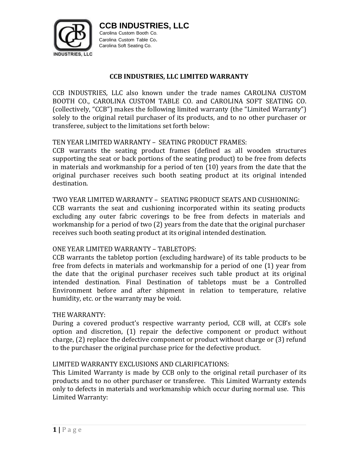

**CCB INDUSTRIES, LLC**

Carolina Custom Booth Co. Carolina Custom Table Co. Carolina Soft Seating Co.

## **CCB INDUSTRIES, LLC LIMITED WARRANTY**

CCB INDUSTRIES, LLC also known under the trade names CAROLINA CUSTOM BOOTH CO., CAROLINA CUSTOM TABLE CO. and CAROLINA SOFT SEATING CO. (collectively, "CCB") makes the following limited warranty (the "Limited Warranty") solely to the original retail purchaser of its products, and to no other purchaser or transferee, subject to the limitations set forth below:

## TEN YEAR LIMITED WARRANTY – SEATING PRODUCT FRAMES:

CCB warrants the seating product frames (defined as all wooden structures supporting the seat or back portions of the seating product) to be free from defects in materials and workmanship for a period of ten (10) years from the date that the original purchaser receives such booth seating product at its original intended destination.

## TWO YEAR LIMITED WARRANTY – SEATING PRODUCT SEATS AND CUSHIONING:

CCB warrants the seat and cushioning incorporated within its seating products excluding any outer fabric coverings to be free from defects in materials and workmanship for a period of two (2) years from the date that the original purchaser receives such booth seating product at its original intended destination.

#### ONE YEAR LIMITED WARRANTY – TABLETOPS:

CCB warrants the tabletop portion (excluding hardware) of its table products to be free from defects in materials and workmanship for a period of one (1) year from the date that the original purchaser receives such table product at its original intended destination. Final Destination of tabletops must be a Controlled Environment before and after shipment in relation to temperature, relative humidity, etc. or the warranty may be void.

#### THE WARRANTY:

During a covered product's respective warranty period, CCB will, at CCB's sole option and discretion, (1) repair the defective component or product without charge, (2) replace the defective component or product without charge or (3) refund to the purchaser the original purchase price for the defective product.

#### LIMITED WARRANTY EXCLUSIONS AND CLARIFICATIONS:

This Limited Warranty is made by CCB only to the original retail purchaser of its products and to no other purchaser or transferee. This Limited Warranty extends only to defects in materials and workmanship which occur during normal use. This Limited Warranty: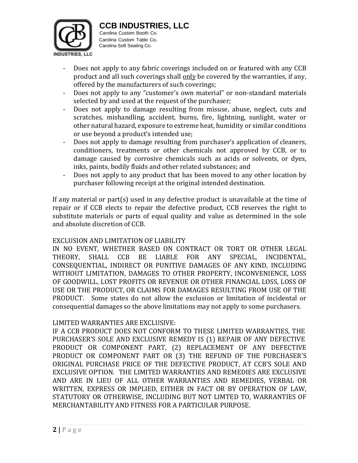

**CCB INDUSTRIES, LLC**

Carolina Custom Booth Co. Carolina Custom Table Co. Carolina Soft Seating Co.

- Does not apply to any fabric coverings included on or featured with any CCB product and all such coverings shall only be covered by the warranties, if any, offered by the manufacturers of such coverings;
- Does not apply to any "customer's own material" or non-standard materials selected by and used at the request of the purchaser;
- Does not apply to damage resulting from misuse, abuse, neglect, cuts and scratches, mishandling, accident, burns, fire, lightning, sunlight, water or other natural hazard, exposure to extreme heat, humidity or similar conditions or use beyond a product's intended use;
- Does not apply to damage resulting from purchaser's application of cleaners, conditioners, treatments or other chemicals not approved by CCB, or to damage caused by corrosive chemicals such as acids or solvents, or dyes, inks, paints, bodily fluids and other related substances; and
- Does not apply to any product that has been moved to any other location by purchaser following receipt at the original intended destination.

If any material or part(s) used in any defective product is unavailable at the time of repair or if CCB elects to repair the defective product, CCB reserves the right to substitute materials or parts of equal quality and value as determined in the sole and absolute discretion of CCB.

## EXCLUSION AND LIMITATION OF LIABILITY

IN NO EVENT, WHETHER BASED ON CONTRACT OR TORT OR OTHER LEGAL THEORY, SHALL CCB BE LIABLE FOR ANY SPECIAL, INCIDENTAL, CONSEQUENTIAL, INDIRECT OR PUNITIVE DAMAGES OF ANY KIND, INCLUDING WITHOUT LIMITATION, DAMAGES TO OTHER PROPERTY, INCONVENIENCE, LOSS OF GOODWILL, LOST PROFITS OR REVENUE OR OTHER FINANCIAL LOSS, LOSS OF USE OR THE PRODUCT, OR CLAIMS FOR DAMAGES RESULTING FROM USE OF THE PRODUCT. Some states do not allow the exclusion or limitation of incidental or consequential damages so the above limitations may not apply to some purchasers.

# LIMITED WARRANTIES ARE EXCLUSIVE:

IF A CCB PRODUCT DOES NOT CONFORM TO THESE LIMITED WARRANTIES, THE PURCHASER'S SOLE AND EXCLUSIVE REMEDY IS (1) REPAIR OF ANY DEFECTIVE PRODUCT OR COMPONENT PART, (2) REPLACEMENT OF ANY DEFECTIVE PRODUCT OR COMPONENT PART OR (3) THE REFUND OF THE PURCHASER'S ORIGINAL PURCHASE PRICE OF THE DEFECTIVE PRODUCT, AT CCB'S SOLE AND EXCLUSIVE OPTION. THE LIMITED WARRANTIES AND REMEDIES ARE EXCLUSIVE AND ARE IN LIEU OF ALL OTHER WARRANTIES AND REMEDIES, VERBAL OR WRITTEN, EXPRESS OR IMPLIED, EITHER IN FACT OR BY OPERATION OF LAW, STATUTORY OR OTHERWISE, INCLUDING BUT NOT LIMTED TO, WARRANTIES OF MERCHANTABILITY AND FITNESS FOR A PARTICULAR PURPOSE.